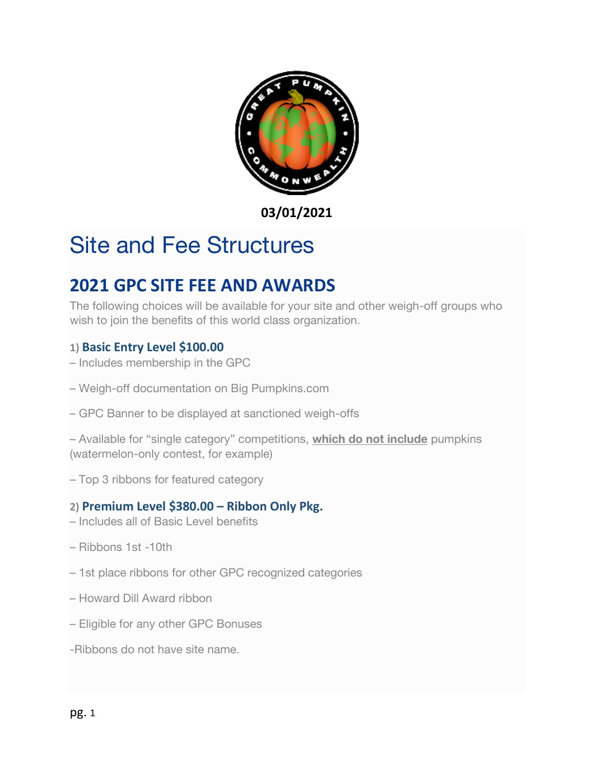

**03/01/2021**

# Site and Fee Structures

# **2021 GPC SITE FEE AND AWARDS**

The following choices will be available for your site and other weigh-off groups who wish to join the benefits of this world class organization.

## **1) Basic Entry Level \$100.00**

- Includes membership in the GPC
- Weigh-off documentation on Big Pumpkins.com
- GPC Banner to be displayed at sanctioned weigh-offs

– Available for "single category" competitions, **which do not include** pumpkins (watermelon-only contest, for example)

– Top 3 ribbons for featured category

### **2) Premium Level \$380.00 – Ribbon Only Pkg.**

- Includes all of Basic Level benefits
- Ribbons 1st -10th
- 1st place ribbons for other GPC recognized categories
- Howard Dill Award ribbon
- Eligible for any other GPC Bonuses
- -Ribbons do not have site name.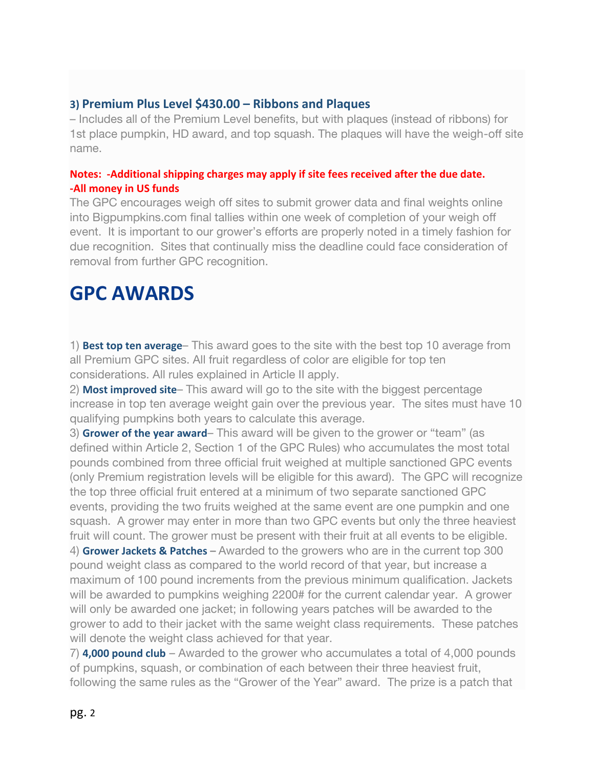#### **3) Premium Plus Level \$430.00 – Ribbons and Plaques**

– Includes all of the Premium Level benefits, but with plaques (instead of ribbons) for 1st place pumpkin, HD award, and top squash. The plaques will have the weigh-off site name.

#### **Notes: -Additional shipping charges may apply if site fees received after the due date. -All money in US funds**

The GPC encourages weigh off sites to submit grower data and final weights online into Bigpumpkins.com final tallies within one week of completion of your weigh off event. It is important to our grower's efforts are properly noted in a timely fashion for due recognition. Sites that continually miss the deadline could face consideration of removal from further GPC recognition.

# **GPC AWARDS**

1) **Best top ten average**– This award goes to the site with the best top 10 average from all Premium GPC sites. All fruit regardless of color are eligible for top ten considerations. All rules explained in Article II apply.

2) **Most improved site**– This award will go to the site with the biggest percentage increase in top ten average weight gain over the previous year. The sites must have 10 qualifying pumpkins both years to calculate this average.

3) **Grower of the year award**– This award will be given to the grower or "team" (as defined within Article 2, Section 1 of the GPC Rules) who accumulates the most total pounds combined from three official fruit weighed at multiple sanctioned GPC events (only Premium registration levels will be eligible for this award). The GPC will recognize the top three official fruit entered at a minimum of two separate sanctioned GPC events, providing the two fruits weighed at the same event are one pumpkin and one squash. A grower may enter in more than two GPC events but only the three heaviest fruit will count. The grower must be present with their fruit at all events to be eligible. 4) **Grower Jackets & Patches –** Awarded to the growers who are in the current top 300 pound weight class as compared to the world record of that year, but increase a maximum of 100 pound increments from the previous minimum qualification. Jackets will be awarded to pumpkins weighing 2200# for the current calendar year. A grower

will only be awarded one jacket; in following years patches will be awarded to the grower to add to their jacket with the same weight class requirements. These patches will denote the weight class achieved for that year.

7) **4,000 pound club** – Awarded to the grower who accumulates a total of 4,000 pounds of pumpkins, squash, or combination of each between their three heaviest fruit, following the same rules as the "Grower of the Year" award. The prize is a patch that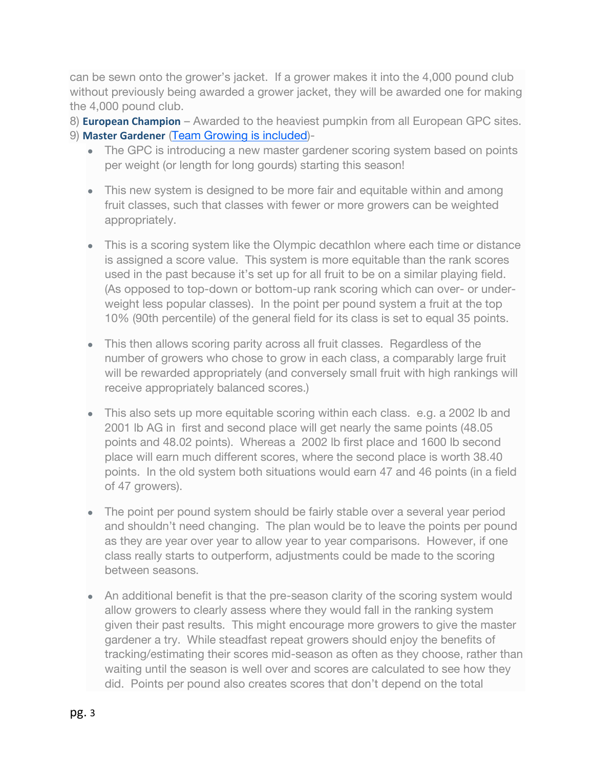can be sewn onto the grower's jacket. If a grower makes it into the 4,000 pound club without previously being awarded a grower jacket, they will be awarded one for making the 4,000 pound club.

8) **European Champion** – Awarded to the heaviest pumpkin from all European GPC sites. 9) **Master Gardener** [\(Team Growing is included\)](https://gpc1.org/about/rules/team-rules/)-

- The GPC is introducing a new master gardener scoring system based on points per weight (or length for long gourds) starting this season!
- This new system is designed to be more fair and equitable within and among fruit classes, such that classes with fewer or more growers can be weighted appropriately.
- This is a scoring system like the Olympic decathlon where each time or distance is assigned a score value. This system is more equitable than the rank scores used in the past because it's set up for all fruit to be on a similar playing field. (As opposed to top-down or bottom-up rank scoring which can over- or underweight less popular classes). In the point per pound system a fruit at the top 10% (90th percentile) of the general field for its class is set to equal 35 points.
- This then allows scoring parity across all fruit classes. Regardless of the number of growers who chose to grow in each class, a comparably large fruit will be rewarded appropriately (and conversely small fruit with high rankings will receive appropriately balanced scores.)
- This also sets up more equitable scoring within each class. e.g. a 2002 lb and 2001 lb AG in first and second place will get nearly the same points (48.05 points and 48.02 points). Whereas a 2002 lb first place and 1600 lb second place will earn much different scores, where the second place is worth 38.40 points. In the old system both situations would earn 47 and 46 points (in a field of 47 growers).
- The point per pound system should be fairly stable over a several year period and shouldn't need changing. The plan would be to leave the points per pound as they are year over year to allow year to year comparisons. However, if one class really starts to outperform, adjustments could be made to the scoring between seasons.
- An additional benefit is that the pre-season clarity of the scoring system would allow growers to clearly assess where they would fall in the ranking system given their past results. This might encourage more growers to give the master gardener a try. While steadfast repeat growers should enjoy the benefits of tracking/estimating their scores mid-season as often as they choose, rather than waiting until the season is well over and scores are calculated to see how they did. Points per pound also creates scores that don't depend on the total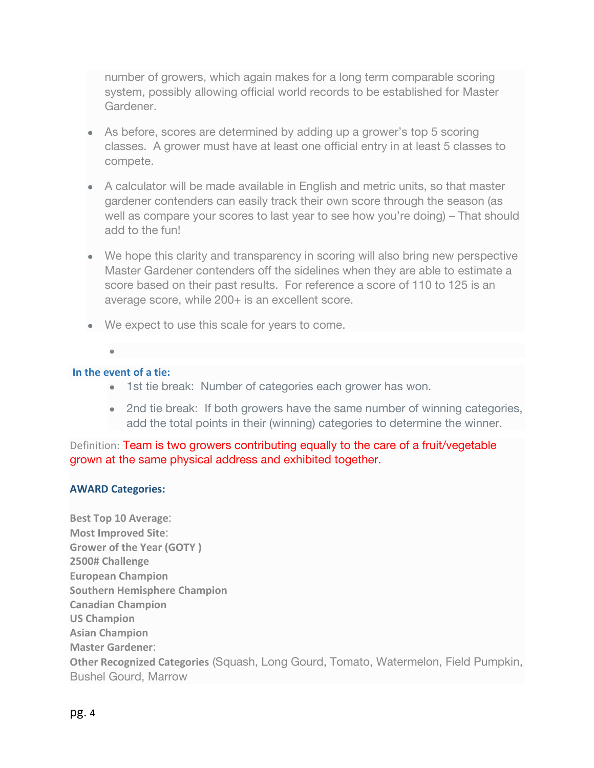number of growers, which again makes for a long term comparable scoring system, possibly allowing official world records to be established for Master Gardener.

- As before, scores are determined by adding up a grower's top 5 scoring classes. A grower must have at least one official entry in at least 5 classes to compete.
- A calculator will be made available in English and metric units, so that master gardener contenders can easily track their own score through the season (as well as compare your scores to last year to see how you're doing) – That should add to the fun!
- We hope this clarity and transparency in scoring will also bring new perspective Master Gardener contenders off the sidelines when they are able to estimate a score based on their past results. For reference a score of 110 to 125 is an average score, while 200+ is an excellent score.
- We expect to use this scale for years to come.
- **In the event of a tie:**

●

- 1st tie break: Number of categories each grower has won.
- 2nd tie break: If both growers have the same number of winning categories, add the total points in their (winning) categories to determine the winner.

Definition: Team is two growers contributing equally to the care of a fruit/vegetable grown at the same physical address and exhibited together.

#### **AWARD Categories:**

**Best Top 10 Average**: **Most Improved Site**: **Grower of the Year (GOTY ) 2500# Challenge European Champion Southern Hemisphere Champion Canadian Champion US Champion Asian Champion Master Gardener**: **Other Recognized Categories** (Squash, Long Gourd, Tomato, Watermelon, Field Pumpkin, Bushel Gourd, Marrow